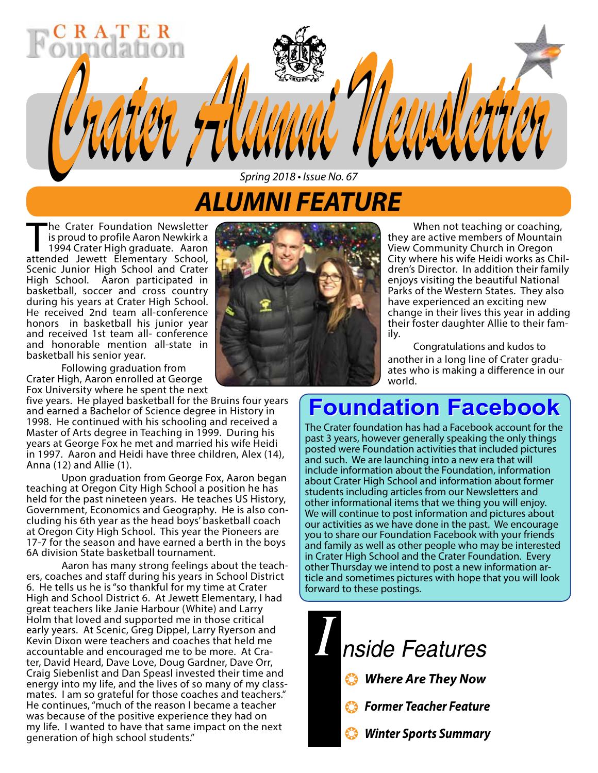# *ALUMNI FEATURE Spring 2018 • Issue No. 67*

*Crater Alumni Newsletter Crater Alumni Newsletter*

The Crater Foundation Newsletter<br>
is proud to profile Aaron Newkirk a<br>
1994 Crater High graduate. Aaron<br>
attended Jewett, Flementary, School is proud to profile Aaron Newkirk a attended Jewett Elementary School, Scenic Junior High School and Crater High School. Aaron participated in basketball, soccer and cross country during his years at Crater High School. He received 2nd team all-conference honors in basketball his junior year and received 1st team all- conference and honorable mention all-state in basketball his senior year.

Following graduation from Crater High, Aaron enrolled at George Fox University where he spent the next

five years. He played basketball for the Bruins four years and earned a Bachelor of Science degree in History in 1998. He continued with his schooling and received a Master of Arts degree in Teaching in 1999. During his years at George Fox he met and married his wife Heidi in 1997. Aaron and Heidi have three children, Alex (14), Anna (12) and Allie (1).

Upon graduation from George Fox, Aaron began teaching at Oregon City High School a position he has held for the past nineteen years. He teaches US History, Government, Economics and Geography. He is also con- cluding his 6th year as the head boys' basketball coach at Oregon City High School. This year the Pioneers are 17-7 for the season and have earned a berth in the boys 6A division State basketball tournament.

Aaron has many strong feelings about the teachers, coaches and staff during his years in School District 6. He tells us he is "so thankful for my time at Crater High and School District 6. At Jewett Elementary, I had great teachers like Janie Harbour (White) and Larry Holm that loved and supported me in those critical early years. At Scenic, Greg Dippel, Larry Ryerson and Kevin Dixon were teachers and coaches that held me accountable and encouraged me to be more. At Crater, David Heard, Dave Love, Doug Gardner, Dave Orr, Craig Siebenlist and Dan Speasl invested their time and energy into my life, and the lives of so many of my class- mates. I am so grateful for those coaches and teachers." He continues, "much of the reason I became a teacher was because of the positive experience they had on my life. I wanted to have that same impact on the next generation of high school students."



When not teaching or coaching, they are active members of Mountain View Community Church in Oregon City where his wife Heidi works as Chil- dren's Director. In addition their family enjoys visiting the beautiful National Parks of the Western States. They also have experienced an exciting new change in their lives this year in adding their foster daughter Allie to their fam- ily.

Congratulations and kudos to another in a long line of Crater gradu- ates who is making a difference in our world.

# **Foundation Facebook Foundation Facebook**

The Crater foundation has had a Facebook account for the past 3 years, however generally speaking the only things posted were Foundation activities that included pictures and such. We are launching into a new era that will include information about the Foundation, information about Crater High School and information about former students including articles from our Newsletters and other informational items that we thing you will enjoy. We will continue to post information and pictures about our activities as we have done in the past. We encourage you to share our Foundation Facebook with your friends and family as well as other people who may be interested in Crater High School and the Crater Foundation. Every other Thursday we intend to post a new information article and sometimes pictures with hope that you will look forward to these postings.

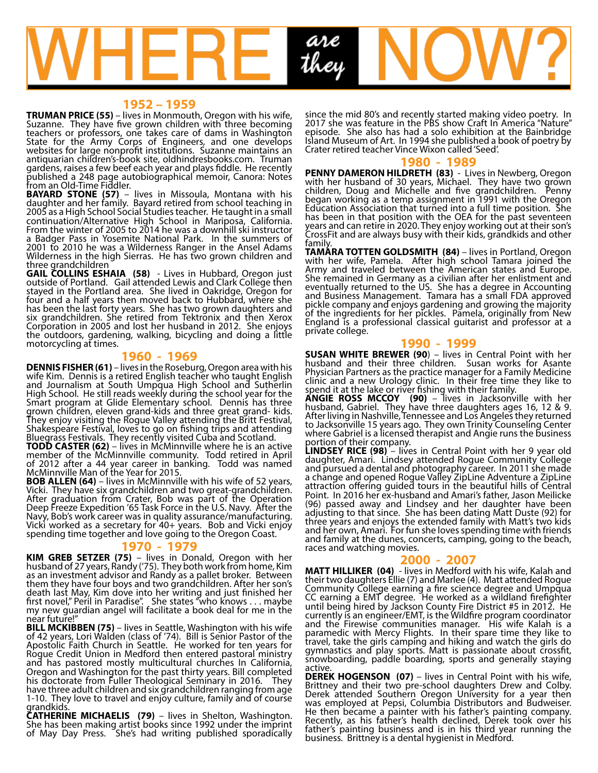

**1952 – 1959**<br>**TRUMAN PRICE (55)** – lives in Monmouth, Oregon with his wife, Suzanne. They have five grown children with three becoming teachers or professors, one takes care of dams in Washington State for the Army Corps of Engineers, and one develops websites for large nonprofit institutions. Suzanne maintains an antiquarian children's-book site, oldhindresbooks.com. Truman gardens, raises a few beef each year and plays fiddle. He recently published a 248 page autobiographical memoir, Canora: Notes from an Old-Time Fiddler.

**BAYARD STONE (57)** – lives in Missoula, Montana with his daughter and her family. Bayard retired from school teaching in 2005 as a High School Social Studies teacher. He taught in a small continuation/Alternative High School in Mariposa, California. From the winter of 2005 to 2014 he was a downhill ski instructor a Badger Pass in Yosemite National Park. In the summers of 2001 to 2010 he was a Wilderness Ranger in the Ansel Adams Wilderness in the high Sierras. He has two grown children and three grandchildren

**GAIL COLLINS ESHAIA (58)** - Lives in Hubbard, Oregon just outside of Portland. Gail attended Lewis and Clark College then stayed in the Portland area. She lived in Oakridge, Oregon for four and a half years then moved back to Hubbard, where she has been the last forty years. She has two grown daughters and six grandchildren. She retired from Tektronix and then Xerox Corporation in 2005 and lost her husband in 2012. She enjoys the outdoors, gardening, walking, bicycling and doing a little motorcycling at times.

**1960 - 1969**<br>**DENNIS FISHER (61)** – lives in the Roseburg, Oregon area with his **DENNIS FISHER (61)** – lives in the Roseburg, Oregon area with his<br>wife Kim. Dennis is a retired English teacher who taught English and Journalism at South Umpqua High School and Sutherlin High School. He still reads weekly during the school year for the Smart program at Glide Elementary school. Dennis has three grown children, eleven grand-kids and three great grand- kids. They enjoy visiting the Rogue Valley attending the Britt Festival, Shakespeare Festival, loves to go on fishing trips and attending Bluegrass Festivals. They recently visited Cuba and Scotland.

**TODD CASTER (62)** – lives in McMinnville where he is an active member of the McMinnville community. Todd retired in April of 2012 after a 44 year career in banking. Todd was named McMinnville Man of the Year for 2015.

**BOB ALLEN (64)** – lives in McMinnville with his wife of 52 years, Vicki. They have six grandchildren and two great-grandchildren. After graduation from Crater, Bob was part of the Operation Deep Freeze Expedition '65 Task Force in the U.S. Navy. After the Navy, Bob's work career was in quality assurance/manufacturing. Vicki worked as a secretary for 40+ years. Bob and Vicki enjoy spending time together and love going to the Oregon Coast.

### **1970 - 1979**

**KIM GREB SETZER (75)** – lives in Donald, Oregon with her husband of 27 years, Randy ('75). They both work from home, Kim as an investment advisor and Randy as a pallet broker. Between them they have four boys and two grandchildren. After her son's death last May, Kim dove into her writing and just finished her first novel," Peril in Paradise". She states "who knows . . . maybe my new guardian angel will facilitate a book deal for me in the

near future!"<br>**BILL MCKIBBEN (75)** – lives in Seattle, Washington with his wife of 42 years, Lori Walden (class of '74). Bill is Senior Pastor of the Apostolic Faith Church in Seattle. He worked for ten years for Rogue Credit Union in Medford then entered pastoral ministry and has pastored mostly multicultural churches In California, Oregon and Washington for the past thirty years. Bill completed his doctorate from Fuller Theological Seminary in 2016. They have three adult children and six grandchildren ranging from agé 1-10. They love to travel and enjoy culture, family and of course grandkids.<br>CATHERINE MICHAELIS (79) – lives in Shelton, Washington.

She has been making artist books since 1992 under the imprint of May Day Press. She's had writing published sporadically

since the mid 80's and recently started making video poetry. In 2017 she was feature in the PBS show Craft In America "Nature" episode. She also has had a solo exhibition at the Bainbridge Island Museum of Art. In 1994 she published a book of poetry by Crater retired teacher Vince Wixon called 'Seed'.

**1980 - 1989**<br>**PENNY DAMERON HILDRETH (83)** - Lives in Newberg, Oregon **PENNY DAMERON HILDRETH (83)** - Lives in Newberg, Oregon with her husband of 30 years, Michael. They have two grown children, Doug and Michelle and five grandchildren. Penny began working as a temp assignment in 1991 with the Oregon Education Association that turned into a full time position. She has been in that position with the OEA for the past seventeen years and can retire in 2020. They enjoy working out at their son's CrossFit and are always busy with their kids, grandkids and other

family.<br>**TAMARA TOTTEN GOLDSMITH (84)** – lives in Portland, Oregon with her wife, Pamela. After high school Tamara joined the Army and traveled between the American states and Europe. She remained in Germany as a civilian after her enlistment and eventually returned to the US. She has a degree in Accounting and Business Management. Tamara has a small FDA approved pickle company and enjoys gardening and growing the majority of the ingredients for her pickles. Pamela, originally from New England is a professional classical guitarist and professor at a private college.

### **1990 - 1999**

**SUSAN WHITE BREWER (90**) – lives in Central Point with her husband and their three children. Susan works for Asante Physician Partners as the practice manager for a Family Medicine clinic and a new Urology clinic. In their free time they like to spend it at the lake or river fishing with their family.

**ANGIE ROSS MCCOY (90)** – lives in Jacksonville with her husband, Gabriel. They have three daughters ages 16, 12 & 9. After living in Nashville, Tennessee and Los Angeles they returned to Jacksonville 15 years ago. They own Trinity Counseling Center where Gabriel is a licensed therapist and Angie runs the business portion of their company.

**LINDSEY RICE (98)** – lives in Central Point with her 9 year old daughter, Amari. Lindsey attended Rogue Community College and pursued a dental and photography career. In 2011 she made a change and opened Rogue Valley ZipLine Adventure a ZipLine attraction offering guided tours in the beautiful hills of Central Point. In 2016 her ex-husband and Amari's father, Jason Meilicke (96) passed away and Lindsey and her daughter have been adjusting to that since. She has been dating Matt Duste (92) for three years and enjoys the extended family with Matt's two kids and her own, Amari. For fun she loves spending time with friends and family at the dunes, concerts, camping, going to the beach, races and watching movies.

#### **2000 - 2007**

**MATT HILLIKER (04)** - lives in Medford with his wife, Kalah and their two daughters Ellie (7) and Marlee (4). Matt attended Rogue Community College earning a fire science degree and Umpqua CC earning a EMT degree. He worked as a wildland firefighter until being hired by Jackson County Fire District #5 in 2012. He currently is an engineer/EMT, is the Wildfire program coordinator and the Firewise communities manager. His wife Kalah is a paramedic with Mercy Flights. In their spare time they like to travel, take the girls camping and hiking and watch the girls do gymnastics and play sports. Matt is passionate about crossfit, snowboarding, paddle boarding, sports and generally staying active.

**DEREK HOGENSON (07)** – lives in Central Point with his wife, Brittney and their two pre-school daughters Drew and Colby. Derek attended Southern Oregon University for a year then was employed at Pepsi, Columbia Distributors and Budweiser. He then became a painter with his father's painting company. Recently, as his father's health declined, Derek took over his father's painting business and is in his third year running the business. Brittney is a dental hygienist in Medford.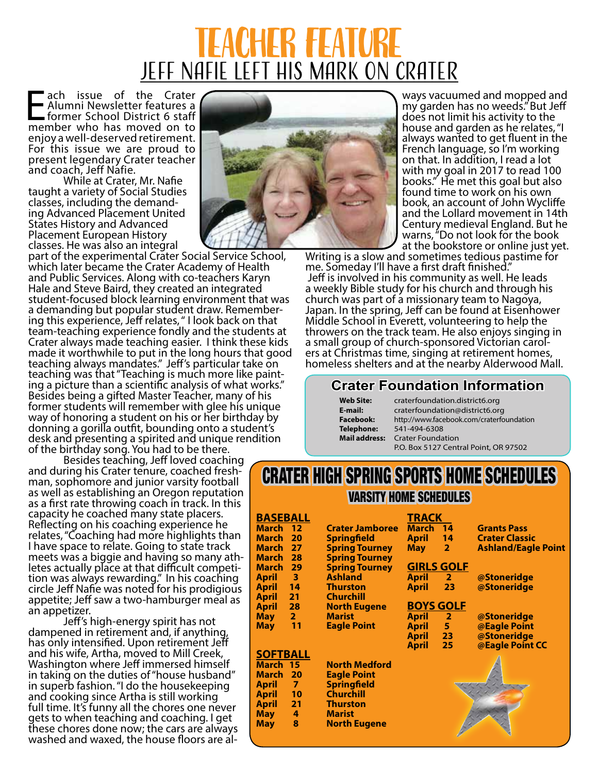# Teacher Feature <u>JEFF NAFIE LEFT HIS MARK ON CRATER</u>

**Each issue of the Crater<br>
E Alumni Newsletter features a**<br> **Example former School District 6 staff<br>
member who has moved on to** Alumni Newsletter features a member who has moved on to enjoy a well-deserved retirement. For this issue we are proud to present legendary Crater teacher and coach, Jeff Nafie.

While at Crater, Mr. Nafie taught a variety of Social Studies ing Advanced Placement United States History and Advanced Placement European History classes. He was also an integral

part of the experimental Crater Social Service School, which later became the Crater Academy of Health and Public Services. Along with co-teachers Karyn Hale and Steve Baird, they created an integrated student-focused block learning environment that was a demanding but popular student draw. Remember- ing this experience, Jeff relates, " I look back on that team-teaching experience fondly and the students at Crater always made teaching easier. I think these kids made it worthwhile to put in the long hours that good teaching always mandates." Jeff's particular take on teaching was that "Teaching is much more like paint- ing a picture than a scientific analysis of what works." Besides being a gifted Master Teacher, many of his former students will remember with glee his unique way of honoring a student on his or her birthday by donning a gorilla outfit, bounding onto a student's desk and presenting a spirited and unique rendition

Besides teaching, Jeff loved coaching<br>and during his Crater tenure, coached fresh-<br>man, sophomore and junior varsity football as well as establishing an Oregon reputation as a first rate throwing coach in track. In this capacity he coached many state placers. Reflecting on his coaching experience he relates, "Coaching had more highlights than I have space to relate. Going to state track meets was a biggie and having so many ath- letes actually place at that difficult competi- tion was always rewarding." In his coaching circle Jeff Nafie was noted for his prodigious appetite; Jeff saw a two-hamburger meal as<br>an appetizer.

Jeff's high-energy spirit has not dampened in retirement and, if anything has only intensified. Upon retirement Jeff and his wife, Artha, moved to Mill Creek, Washington where Jeff immersed himself in taking on the duties of "house husband" in superb fashion. "I do the housekeeping and cooking since Artha is still working full time. It's funny all the chores one never gets to when teaching and coaching. I get these chores done now; the cars are always washed and waxed, the house floors are al-



ways vacuumed and mopped and my garden has no weeds." But Jeff does not limit his activity to the house and garden as he relates, "I always wanted to get fluent in the French language, so I'm working on that. In addition, I read a lot with my goal in 2017 to read 100 books." He met this goal but also found time to work on his own book, an account of John Wycliffe and the Lollard movement in 14th Century medieval England. But he warns, "Do not look for the book<br>at the bookstore or online just yet.

Writing is a slow and sometimes tedious pastime for me. Someday I'll have a first draft finished." Jeff is involved in his community as well. He leads a weekly Bible study for his church and through his church was part of a missionary team to Nagoya, Japan. In the spring, Jeff can be found at Eisenhower Middle School in Everett, volunteering to help the throwers on the track team. He also enjoys singing in ers at Christmas time, singing at retirement homes, homeless shelters and at the nearby Alderwood Mall.

## **Crater Foundation Information**

| <b>Web Site:</b>     |
|----------------------|
| E-mail:              |
| <b>Facebook:</b>     |
| <b>Telephone:</b>    |
| <b>Mail address:</b> |
|                      |

**Web Site:** craterfoundation.district6.org **E-mail:** craterfoundation@district6.org **Facebook:** http://www.facebook.com/craterfoundation **Telephone:** 541-494-6308 **Mail address:** Crater Foundation P.O. Box 5127 Central Point, OR 97502

# CRATER HIGH SPRING SPORTS HOME SCHEDULES VARSITY HOME SCHEDULES

| <b>BASEBALL</b> |                         |                        | <b>TRACK</b>      |                |                            |
|-----------------|-------------------------|------------------------|-------------------|----------------|----------------------------|
| March 12        |                         | <b>Crater Jamboree</b> | <b>March</b>      | 14             | <b>Grants Pass</b>         |
| March           | - 20                    | <b>Springfield</b>     | <b>April</b>      | 14             | <b>Crater Classic</b>      |
| March 27        |                         | <b>Spring Tourney</b>  | <b>May</b>        | $\overline{2}$ | <b>Ashland/Eagle Point</b> |
| March 28        |                         | <b>Spring Tourney</b>  |                   |                |                            |
| March 29        |                         | <b>Spring Tourney</b>  | <b>GIRLS GOLF</b> |                |                            |
| April           | $\overline{\mathbf{3}}$ | <b>Ashland</b>         | April             | 2 <sup>1</sup> | @Stoneridge                |
| <b>April</b>    | 14                      | <b>Thurston</b>        | <b>April</b>      | 23             | @Stoneridge                |
| April           | 21                      | <b>Churchill</b>       |                   |                |                            |
| <b>April</b>    | 28                      | <b>North Eugene</b>    | <b>BOYS GOLF</b>  |                |                            |
| <b>May</b>      | 2 <sup>1</sup>          | <b>Marist</b>          | <b>April</b>      | ♦              | @Stoneridge                |
| <b>May</b>      | 11                      | <b>Eagle Point</b>     | <b>April</b>      | 5 <sup>1</sup> | @Eagle Point               |
|                 |                         |                        | <b>April</b>      | $23 -$         | @Stoneridge                |
|                 |                         |                        | <b>April</b>      | 25             | @Eagle Point CC            |
| <b>SOFTBALL</b> |                         |                        |                   |                |                            |
| March 15        |                         | <b>North Medford</b>   |                   |                |                            |
| March 20        |                         | <b>Eagle Point</b>     |                   |                |                            |
| April           | $\overline{7}$          | <b>Springfield</b>     |                   |                |                            |
|                 | 10                      | <b>Churchill</b>       |                   |                |                            |
| April           |                         |                        |                   |                |                            |
| <b>April</b>    | 21                      | <b>Thurston</b>        |                   |                |                            |
| <b>May</b>      | 4                       | <b>Marist</b>          |                   |                |                            |
| <b>May</b>      | 8                       | <b>North Eugene</b>    |                   |                |                            |
|                 |                         |                        |                   |                |                            |